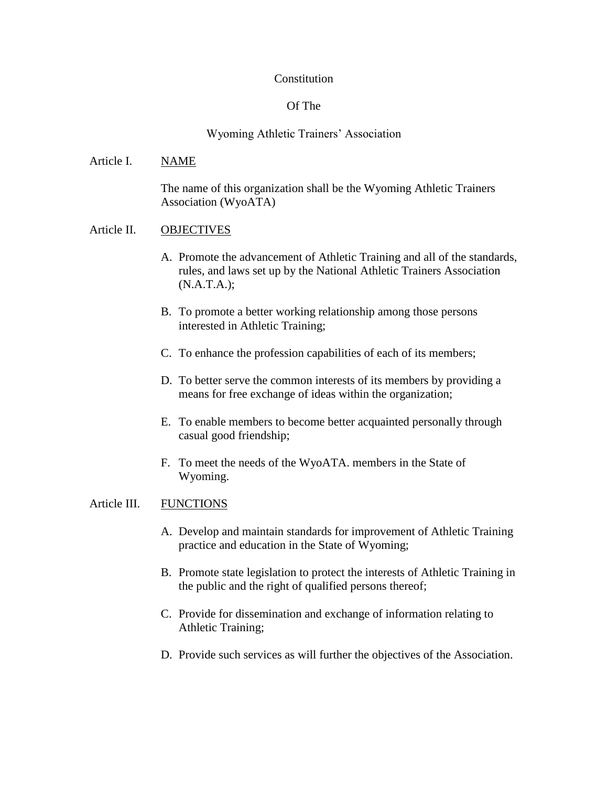### **Constitution**

# Of The

# Wyoming Athletic Trainers' Association

The name of this organization shall be the Wyoming Athletic Trainers Association (WyoATA)

# Article II. OBJECTIVES

Article I. NAME

- A. Promote the advancement of Athletic Training and all of the standards, rules, and laws set up by the National Athletic Trainers Association (N.A.T.A.);
- B. To promote a better working relationship among those persons interested in Athletic Training;
- C. To enhance the profession capabilities of each of its members;
- D. To better serve the common interests of its members by providing a means for free exchange of ideas within the organization;
- E. To enable members to become better acquainted personally through casual good friendship;
- F. To meet the needs of the WyoATA. members in the State of Wyoming.

# Article III. FUNCTIONS

- A. Develop and maintain standards for improvement of Athletic Training practice and education in the State of Wyoming;
- B. Promote state legislation to protect the interests of Athletic Training in the public and the right of qualified persons thereof;
- C. Provide for dissemination and exchange of information relating to Athletic Training;
- D. Provide such services as will further the objectives of the Association.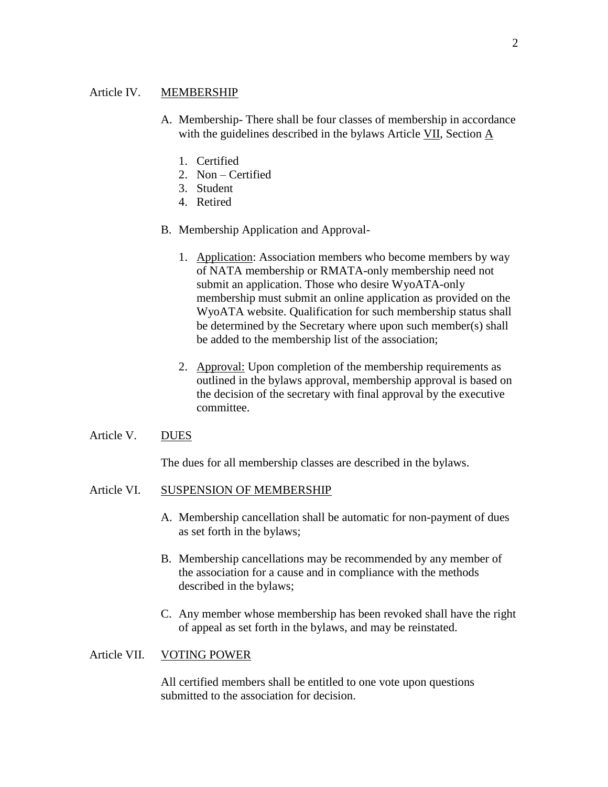### Article IV. MEMBERSHIP

- A. Membership- There shall be four classes of membership in accordance with the guidelines described in the bylaws Article VII, Section A
	- 1. Certified
	- 2. Non Certified
	- 3. Student
	- 4. Retired
- B. Membership Application and Approval-
	- 1. Application: Association members who become members by way of NATA membership or RMATA-only membership need not submit an application. Those who desire WyoATA-only membership must submit an online application as provided on the WyoATA website. Qualification for such membership status shall be determined by the Secretary where upon such member(s) shall be added to the membership list of the association;
	- 2. Approval: Upon completion of the membership requirements as outlined in the bylaws approval, membership approval is based on the decision of the secretary with final approval by the executive committee.
- Article V. DUES

The dues for all membership classes are described in the bylaws.

#### Article VI. SUSPENSION OF MEMBERSHIP

- A. Membership cancellation shall be automatic for non-payment of dues as set forth in the bylaws;
- B. Membership cancellations may be recommended by any member of the association for a cause and in compliance with the methods described in the bylaws;
- C. Any member whose membership has been revoked shall have the right of appeal as set forth in the bylaws, and may be reinstated.

#### Article VII. VOTING POWER

All certified members shall be entitled to one vote upon questions submitted to the association for decision.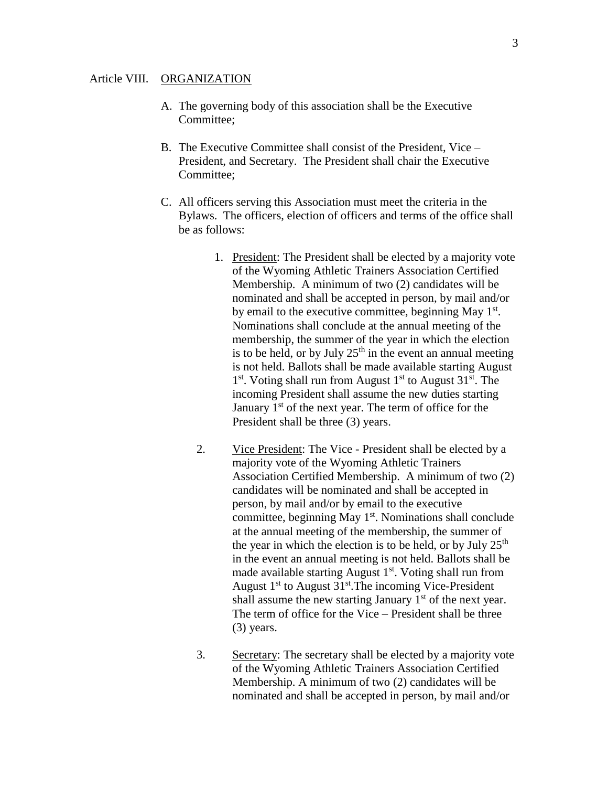- A. The governing body of this association shall be the Executive Committee;
- B. The Executive Committee shall consist of the President, Vice President, and Secretary. The President shall chair the Executive Committee;
- C. All officers serving this Association must meet the criteria in the Bylaws. The officers, election of officers and terms of the office shall be as follows:
	- 1. President: The President shall be elected by a majority vote of the Wyoming Athletic Trainers Association Certified Membership. A minimum of two (2) candidates will be nominated and shall be accepted in person, by mail and/or by email to the executive committee, beginning May  $1<sup>st</sup>$ . Nominations shall conclude at the annual meeting of the membership, the summer of the year in which the election is to be held, or by July  $25<sup>th</sup>$  in the event an annual meeting is not held. Ballots shall be made available starting August 1<sup>st</sup>. Voting shall run from August 1<sup>st</sup> to August 31<sup>st</sup>. The incoming President shall assume the new duties starting January  $1<sup>st</sup>$  of the next year. The term of office for the President shall be three (3) years.
	- 2. Vice President: The Vice President shall be elected by a majority vote of the Wyoming Athletic Trainers Association Certified Membership. A minimum of two (2) candidates will be nominated and shall be accepted in person, by mail and/or by email to the executive committee, beginning May  $1<sup>st</sup>$ . Nominations shall conclude at the annual meeting of the membership, the summer of the year in which the election is to be held, or by July  $25<sup>th</sup>$ in the event an annual meeting is not held. Ballots shall be made available starting August  $1<sup>st</sup>$ . Voting shall run from August  $1<sup>st</sup>$  to August  $31<sup>st</sup>$ . The incoming Vice-President shall assume the new starting January  $1<sup>st</sup>$  of the next year. The term of office for the Vice – President shall be three (3) years.
	- 3. Secretary: The secretary shall be elected by a majority vote of the Wyoming Athletic Trainers Association Certified Membership. A minimum of two (2) candidates will be nominated and shall be accepted in person, by mail and/or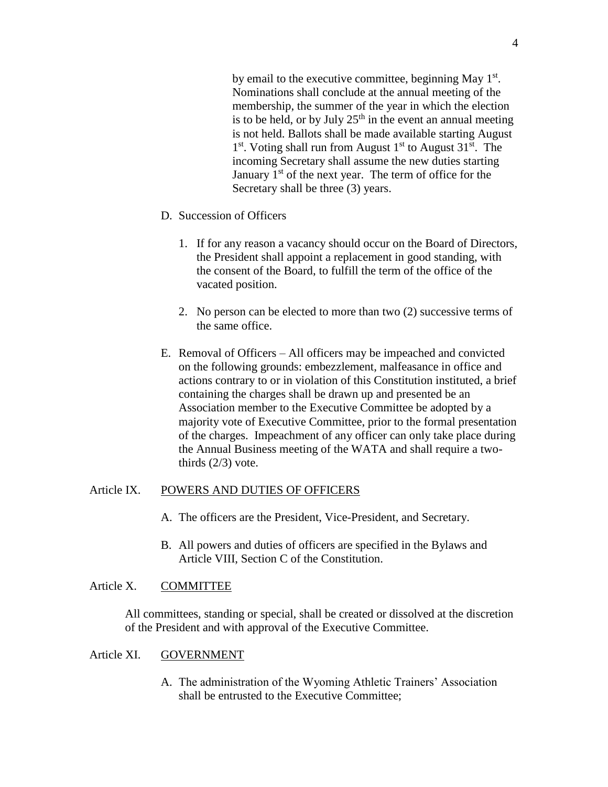by email to the executive committee, beginning May  $1<sup>st</sup>$ . Nominations shall conclude at the annual meeting of the membership, the summer of the year in which the election is to be held, or by July  $25<sup>th</sup>$  in the event an annual meeting is not held. Ballots shall be made available starting August 1<sup>st</sup>. Voting shall run from August 1<sup>st</sup> to August 31<sup>st</sup>. The incoming Secretary shall assume the new duties starting January  $1<sup>st</sup>$  of the next year. The term of office for the Secretary shall be three (3) years.

- D. Succession of Officers
	- 1. If for any reason a vacancy should occur on the Board of Directors, the President shall appoint a replacement in good standing, with the consent of the Board, to fulfill the term of the office of the vacated position.
	- 2. No person can be elected to more than two (2) successive terms of the same office.
- E. Removal of Officers All officers may be impeached and convicted on the following grounds: embezzlement, malfeasance in office and actions contrary to or in violation of this Constitution instituted, a brief containing the charges shall be drawn up and presented be an Association member to the Executive Committee be adopted by a majority vote of Executive Committee, prior to the formal presentation of the charges. Impeachment of any officer can only take place during the Annual Business meeting of the WATA and shall require a twothirds  $(2/3)$  vote.

#### Article IX. POWERS AND DUTIES OF OFFICERS

- A. The officers are the President, Vice-President, and Secretary.
- B. All powers and duties of officers are specified in the Bylaws and Article VIII, Section C of the Constitution.

# Article X. COMMITTEE

All committees, standing or special, shall be created or dissolved at the discretion of the President and with approval of the Executive Committee.

#### Article XI. GOVERNMENT

A. The administration of the Wyoming Athletic Trainers' Association shall be entrusted to the Executive Committee;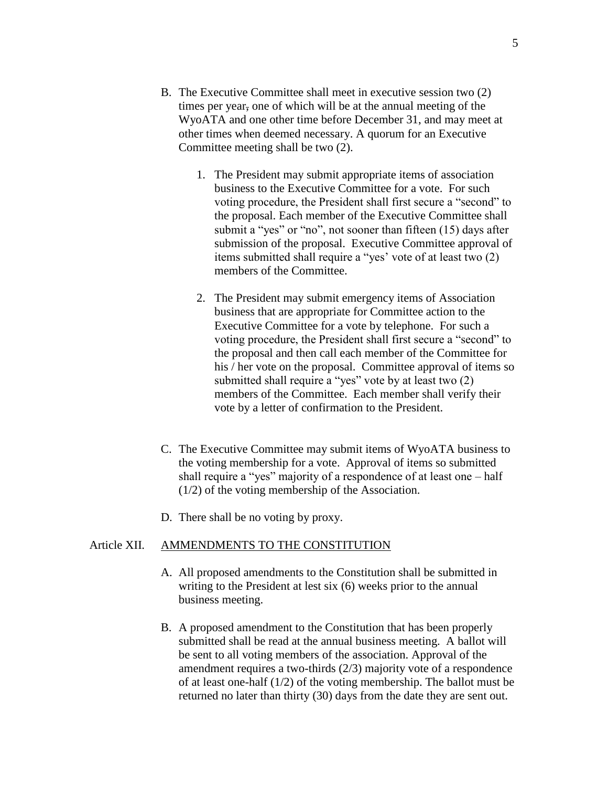- B. The Executive Committee shall meet in executive session two (2) times per year, one of which will be at the annual meeting of the WyoATA and one other time before December 31, and may meet at other times when deemed necessary. A quorum for an Executive Committee meeting shall be two (2).
	- 1. The President may submit appropriate items of association business to the Executive Committee for a vote. For such voting procedure, the President shall first secure a "second" to the proposal. Each member of the Executive Committee shall submit a "yes" or "no", not sooner than fifteen (15) days after submission of the proposal. Executive Committee approval of items submitted shall require a "yes' vote of at least two (2) members of the Committee.
	- 2. The President may submit emergency items of Association business that are appropriate for Committee action to the Executive Committee for a vote by telephone. For such a voting procedure, the President shall first secure a "second" to the proposal and then call each member of the Committee for his / her vote on the proposal. Committee approval of items so submitted shall require a "yes" vote by at least two (2) members of the Committee. Each member shall verify their vote by a letter of confirmation to the President.
- C. The Executive Committee may submit items of WyoATA business to the voting membership for a vote. Approval of items so submitted shall require a "yes" majority of a respondence of at least one – half (1/2) of the voting membership of the Association.
- D. There shall be no voting by proxy.

#### Article XII. AMMENDMENTS TO THE CONSTITUTION

- A. All proposed amendments to the Constitution shall be submitted in writing to the President at lest six (6) weeks prior to the annual business meeting.
- B. A proposed amendment to the Constitution that has been properly submitted shall be read at the annual business meeting. A ballot will be sent to all voting members of the association. Approval of the amendment requires a two-thirds (2/3) majority vote of a respondence of at least one-half (1/2) of the voting membership. The ballot must be returned no later than thirty (30) days from the date they are sent out.